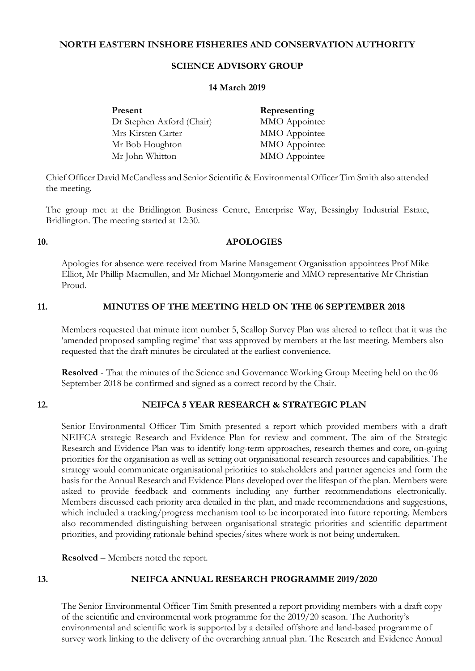## **NORTH EASTERN INSHORE FISHERIES AND CONSERVATION AUTHORITY**

## **SCIENCE ADVISORY GROUP**

#### **14 March 2019**

| Present                   | Representing  |
|---------------------------|---------------|
| Dr Stephen Axford (Chair) | MMO Appointee |
| Mrs Kirsten Carter        | MMO Appointee |
| Mr Bob Houghton           | MMO Appointee |
| Mr John Whitton           | MMO Appointee |

Chief Officer David McCandless and Senior Scientific & Environmental Officer Tim Smith also attended the meeting.

The group met at the Bridlington Business Centre, Enterprise Way, Bessingby Industrial Estate, Bridlington. The meeting started at 12:30.

### **10. APOLOGIES**

Apologies for absence were received from Marine Management Organisation appointees Prof Mike Elliot, Mr Phillip Macmullen, and Mr Michael Montgomerie and MMO representative Mr Christian Proud.

### **11. MINUTES OF THE MEETING HELD ON THE 06 SEPTEMBER 2018**

Members requested that minute item number 5, Scallop Survey Plan was altered to reflect that it was the 'amended proposed sampling regime' that was approved by members at the last meeting. Members also requested that the draft minutes be circulated at the earliest convenience.

**Resolved** - That the minutes of the Science and Governance Working Group Meeting held on the 06 September 2018 be confirmed and signed as a correct record by the Chair.

## **12. NEIFCA 5 YEAR RESEARCH & STRATEGIC PLAN**

Senior Environmental Officer Tim Smith presented a report which provided members with a draft NEIFCA strategic Research and Evidence Plan for review and comment. The aim of the Strategic Research and Evidence Plan was to identify long-term approaches, research themes and core, on-going priorities for the organisation as well as setting out organisational research resources and capabilities. The strategy would communicate organisational priorities to stakeholders and partner agencies and form the basis for the Annual Research and Evidence Plans developed over the lifespan of the plan. Members were asked to provide feedback and comments including any further recommendations electronically. Members discussed each priority area detailed in the plan, and made recommendations and suggestions, which included a tracking/progress mechanism tool to be incorporated into future reporting. Members also recommended distinguishing between organisational strategic priorities and scientific department priorities, and providing rationale behind species/sites where work is not being undertaken.

**Resolved** – Members noted the report.

# **13. NEIFCA ANNUAL RESEARCH PROGRAMME 2019/2020**

The Senior Environmental Officer Tim Smith presented a report providing members with a draft copy of the scientific and environmental work programme for the 2019/20 season. The Authority's environmental and scientific work is supported by a detailed offshore and land-based programme of survey work linking to the delivery of the overarching annual plan. The Research and Evidence Annual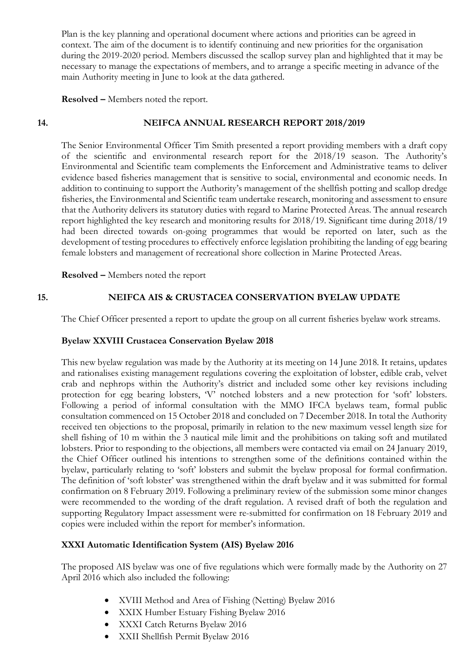Plan is the key planning and operational document where actions and priorities can be agreed in context. The aim of the document is to identify continuing and new priorities for the organisation during the 2019-2020 period. Members discussed the scallop survey plan and highlighted that it may be necessary to manage the expectations of members, and to arrange a specific meeting in advance of the main Authority meeting in June to look at the data gathered.

## **Resolved –** Members noted the report.

## **14. NEIFCA ANNUAL RESEARCH REPORT 2018/2019**

The Senior Environmental Officer Tim Smith presented a report providing members with a draft copy of the scientific and environmental research report for the 2018/19 season. The Authority's Environmental and Scientific team complements the Enforcement and Administrative teams to deliver evidence based fisheries management that is sensitive to social, environmental and economic needs. In addition to continuing to support the Authority's management of the shellfish potting and scallop dredge fisheries, the Environmental and Scientific team undertake research, monitoring and assessment to ensure that the Authority delivers its statutory duties with regard to Marine Protected Areas. The annual research report highlighted the key research and monitoring results for 2018/19. Significant time during 2018/19 had been directed towards on-going programmes that would be reported on later, such as the development of testing procedures to effectively enforce legislation prohibiting the landing of egg bearing female lobsters and management of recreational shore collection in Marine Protected Areas.

**Resolved –** Members noted the report

### **15. NEIFCA AIS & CRUSTACEA CONSERVATION BYELAW UPDATE**

The Chief Officer presented a report to update the group on all current fisheries byelaw work streams.

### **Byelaw XXVIII Crustacea Conservation Byelaw 2018**

This new byelaw regulation was made by the Authority at its meeting on 14 June 2018. It retains, updates and rationalises existing management regulations covering the exploitation of lobster, edible crab, velvet crab and nephrops within the Authority's district and included some other key revisions including protection for egg bearing lobsters, 'V' notched lobsters and a new protection for 'soft' lobsters. Following a period of informal consultation with the MMO IFCA byelaws team, formal public consultation commenced on 15 October 2018 and concluded on 7 December 2018. In total the Authority received ten objections to the proposal, primarily in relation to the new maximum vessel length size for shell fishing of 10 m within the 3 nautical mile limit and the prohibitions on taking soft and mutilated lobsters. Prior to responding to the objections, all members were contacted via email on 24 January 2019, the Chief Officer outlined his intentions to strengthen some of the definitions contained within the byelaw, particularly relating to 'soft' lobsters and submit the byelaw proposal for formal confirmation. The definition of 'soft lobster' was strengthened within the draft byelaw and it was submitted for formal confirmation on 8 February 2019. Following a preliminary review of the submission some minor changes were recommended to the wording of the draft regulation. A revised draft of both the regulation and supporting Regulatory Impact assessment were re-submitted for confirmation on 18 February 2019 and copies were included within the report for member's information.

### **XXXI Automatic Identification System (AIS) Byelaw 2016**

The proposed AIS byelaw was one of five regulations which were formally made by the Authority on 27 April 2016 which also included the following:

- XVIII Method and Area of Fishing (Netting) Byelaw 2016
- XXIX Humber Estuary Fishing Byelaw 2016
- XXXI Catch Returns Byelaw 2016
- XXII Shellfish Permit Byelaw 2016